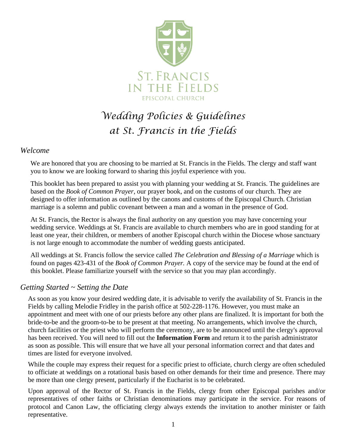

# *Wedding Policies & Guidelines at St. Francis in the Fields*

## *Welcome*

We are honored that you are choosing to be married at St. Francis in the Fields. The clergy and staff want you to know we are looking forward to sharing this joyful experience with you.

This booklet has been prepared to assist you with planning your wedding at St. Francis. The guidelines are based on the *Book of Common Prayer*, our prayer book, and on the customs of our church. They are designed to offer information as outlined by the canons and customs of the Episcopal Church. Christian marriage is a solemn and public covenant between a man and a woman in the presence of God.

At St. Francis, the Rector is always the final authority on any question you may have concerning your wedding service. Weddings at St. Francis are available to church members who are in good standing for at least one year, their children, or members of another Episcopal church within the Diocese whose sanctuary is not large enough to accommodate the number of wedding guests anticipated.

All weddings at St. Francis follow the service called *The Celebration and Blessing of a Marriage* which is found on pages 423-431 of the *Book of Common Prayer.* A copy of the service may be found at the end of this booklet. Please familiarize yourself with the service so that you may plan accordingly.

# *Getting Started ~ Setting the Date*

As soon as you know your desired wedding date, it is advisable to verify the availability of St. Francis in the Fields by calling Melodie Fridley in the parish office at 502-228-1176. However, you must make an appointment and meet with one of our priests before any other plans are finalized. It is important for both the bride-to-be and the groom-to-be to be present at that meeting. No arrangements, which involve the church, church facilities or the priest who will perform the ceremony, are to be announced until the clergy's approval has been received. You will need to fill out the **Information Form** and return it to the parish administrator as soon as possible. This will ensure that we have all your personal information correct and that dates and times are listed for everyone involved.

While the couple may express their request for a specific priest to officiate, church clergy are often scheduled to officiate at weddings on a rotational basis based on other demands for their time and presence. There may be more than one clergy present, particularly if the Eucharist is to be celebrated.

Upon approval of the Rector of St. Francis in the Fields, clergy from other Episcopal parishes and/or representatives of other faiths or Christian denominations may participate in the service. For reasons of protocol and Canon Law, the officiating clergy always extends the invitation to another minister or faith representative.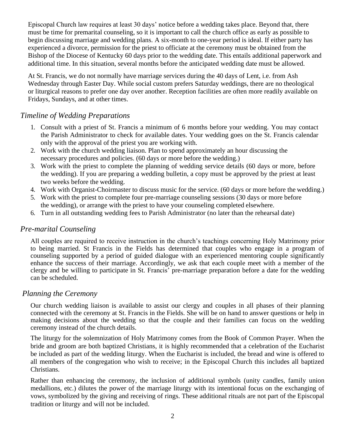Episcopal Church law requires at least 30 days' notice before a wedding takes place. Beyond that, there must be time for premarital counseling, so it is important to call the church office as early as possible to begin discussing marriage and wedding plans. A six-month to one-year period is ideal. If either party has experienced a divorce, permission for the priest to officiate at the ceremony must be obtained from the Bishop of the Diocese of Kentucky 60 days prior to the wedding date. This entails additional paperwork and additional time. In this situation, several months before the anticipated wedding date must be allowed.

At St. Francis, we do not normally have marriage services during the 40 days of Lent, i.e. from Ash Wednesday through Easter Day. While social custom prefers Saturday weddings, there are no theological or liturgical reasons to prefer one day over another. Reception facilities are often more readily available on Fridays, Sundays, and at other times.

## *Timeline of Wedding Preparations*

- 1. Consult with a priest of St. Francis a minimum of 6 months before your wedding. You may contact the Parish Administrator to check for available dates. Your wedding goes on the St. Francis calendar only with the approval of the priest you are working with.
- 2. Work with the church wedding liaison. Plan to spend approximately an hour discussing the necessary procedures and policies. (60 days or more before the wedding.)
- 3. Work with the priest to complete the planning of wedding service details (60 days or more, before the wedding). If you are preparing a wedding bulletin, a copy must be approved by the priest at least two weeks before the wedding.
- 4. Work with Organist-Choirmaster to discuss music for the service. (60 days or more before the wedding.)
- 5. Work with the priest to complete four pre-marriage counseling sessions (30 days or more before the wedding), or arrange with the priest to have your counseling completed elsewhere.
- 6. Turn in all outstanding wedding fees to Parish Administrator (no later than the rehearsal date)

## *Pre-marital Counseling*

All couples are required to receive instruction in the church's teachings concerning Holy Matrimony prior to being married. St Francis in the Fields has determined that couples who engage in a program of counseling supported by a period of guided dialogue with an experienced mentoring couple significantly enhance the success of their marriage. Accordingly, we ask that each couple meet with a member of the clergy and be willing to participate in St. Francis' pre-marriage preparation before a date for the wedding can be scheduled.

## *Planning the Ceremony*

Our church wedding liaison is available to assist our clergy and couples in all phases of their planning connected with the ceremony at St. Francis in the Fields. She will be on hand to answer questions or help in making decisions about the wedding so that the couple and their families can focus on the wedding ceremony instead of the church details.

The liturgy for the solemnization of Holy Matrimony comes from the Book of Common Prayer. When the bride and groom are both baptized Christians, it is highly recommended that a celebration of the Eucharist be included as part of the wedding liturgy. When the Eucharist is included, the bread and wine is offered to all members of the congregation who wish to receive; in the Episcopal Church this includes all baptized Christians.

Rather than enhancing the ceremony, the inclusion of additional symbols (unity candles, family union medallions, etc.) dilutes the power of the marriage liturgy with its intentional focus on the exchanging of vows, symbolized by the giving and receiving of rings. These additional rituals are not part of the Episcopal tradition or liturgy and will not be included.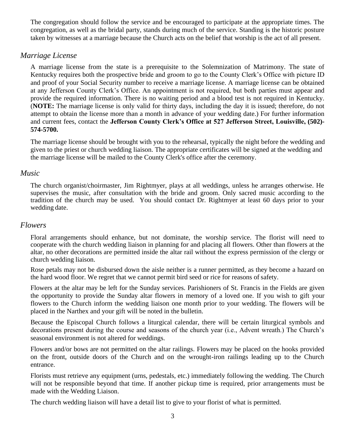The congregation should follow the service and be encouraged to participate at the appropriate times. The congregation, as well as the bridal party, stands during much of the service. Standing is the historic posture taken by witnesses at a marriage because the Church acts on the belief that worship is the act of all present.

## *Marriage License*

A marriage license from the state is a prerequisite to the Solemnization of Matrimony. The state of Kentucky requires both the prospective bride and groom to go to the County Clerk's Office with picture ID and proof of your Social Security number to receive a marriage license. A marriage license can be obtained at any Jefferson County Clerk's Office. An appointment is not required, but both parties must appear and provide the required information. There is no waiting period and a blood test is not required in Kentucky. (**NOTE:** The marriage license is only valid for thirty days, including the day it is issued; therefore, do not attempt to obtain the license more than a month in advance of your wedding date.) For further information and current fees, contact the **Jefferson County Clerk's Office at 527 Jefferson Street, Louisville, (502)- 574-5700.**

The marriage license should be brought with you to the rehearsal, typically the night before the wedding and given to the priest or church wedding liaison. The appropriate certificates will be signed at the wedding and the marriage license will be mailed to the County Clerk's office after the ceremony.

## *Music*

The church organist/choirmaster, Jim Rightmyer, plays at all weddings, unless he arranges otherwise. He supervises the music, after consultation with the bride and groom. Only sacred music according to the tradition of the church may be used. You should contact Dr. Rightmyer at least 60 days prior to your wedding date.

#### *Flowers*

Floral arrangements should enhance, but not dominate, the worship service. The florist will need to cooperate with the church wedding liaison in planning for and placing all flowers. Other than flowers at the altar, no other decorations are permitted inside the altar rail without the express permission of the clergy or church wedding liaison.

Rose petals may not be disbursed down the aisle neither is a runner permitted, as they become a hazard on the hard wood floor. We regret that we cannot permit bird seed or rice for reasons of safety.

Flowers at the altar may be left for the Sunday services. Parishioners of St. Francis in the Fields are given the opportunity to provide the Sunday altar flowers in memory of a loved one. If you wish to gift your flowers to the Church inform the wedding liaison one month prior to your wedding. The flowers will be placed in the Narthex and your gift will be noted in the bulletin.

Because the Episcopal Church follows a liturgical calendar, there will be certain liturgical symbols and decorations present during the course and seasons of the church year (i.e., Advent wreath.) The Church's seasonal environment is not altered for weddings.

Flowers and/or bows are not permitted on the altar railings. Flowers may be placed on the hooks provided on the front, outside doors of the Church and on the wrought-iron railings leading up to the Church entrance.

Florists must retrieve any equipment (urns, pedestals, etc.) immediately following the wedding. The Church will not be responsible beyond that time. If another pickup time is required, prior arrangements must be made with the Wedding Liaison.

The church wedding liaison will have a detail list to give to your florist of what is permitted.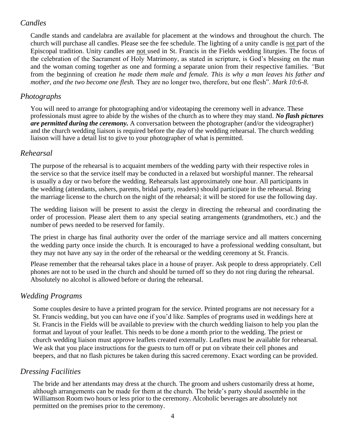## *Candles*

Candle stands and candelabra are available for placement at the windows and throughout the church. The church will purchase all candles. Please see the fee schedule. The lighting of a unity candle is not part of the Episcopal tradition. Unity candles are not used in St. Francis in the Fields wedding liturgies. The focus of the celebration of the Sacrament of Holy Matrimony, as stated in scripture, is God's blessing on the man and the woman coming together as one and forming a separate union from their respective families. *"*But from the beginning of creation *he made them male and female. This is why a man leaves his father and mother, and the two become one flesh.* They are no longer two, therefore, but one flesh". *Mark 10:6-8*.

## *Photographs*

You will need to arrange for photographing and/or videotaping the ceremony well in advance. These professionals must agree to abide by the wishes of the church as to where they may stand. *No flash pictures are permitted during the ceremony.* A conversation between the photographer (and/or the videographer) and the church wedding liaison is required before the day of the wedding rehearsal. The church wedding liaison will have a detail list to give to your photographer of what is permitted.

## *Rehearsal*

The purpose of the rehearsal is to acquaint members of the wedding party with their respective roles in the service so that the service itself may be conducted in a relaxed but worshipful manner. The rehearsal is usually a day or two before the wedding. Rehearsals last approximately one hour. All participants in the wedding (attendants, ushers, parents, bridal party, readers) should participate in the rehearsal. Bring the marriage license to the church on the night of the rehearsal; it will be stored for use the following day.

The wedding liaison will be present to assist the clergy in directing the rehearsal and coordinating the order of procession. Please alert them to any special seating arrangements (grandmothers, etc.) and the number of pews needed to be reserved for family.

The priest in charge has final authority over the order of the marriage service and all matters concerning the wedding party once inside the church. It is encouraged to have a professional wedding consultant, but they may not have any say in the order of the rehearsal or the wedding ceremony at St. Francis.

Please remember that the rehearsal takes place in a house of prayer. Ask people to dress appropriately. Cell phones are not to be used in the church and should be turned off so they do not ring during the rehearsal. Absolutely no alcohol is allowed before or during the rehearsal.

# *Wedding Programs*

Some couples desire to have a printed program for the service. Printed programs are not necessary for a St. Francis wedding, but you can have one if you'd like. Samples of programs used in weddings here at St. Francis in the Fields will be available to preview with the church wedding liaison to help you plan the format and layout of your leaflet. This needs to be done a month prior to the wedding. The priest or church wedding liaison must approve leaflets created externally. Leaflets must be available for rehearsal. We ask that you place instructions for the guests to turn off or put on vibrate their cell phones and beepers, and that no flash pictures be taken during this sacred ceremony. Exact wording can be provided.

## *Dressing Facilities*

The bride and her attendants may dress at the church. The groom and ushers customarily dress at home, although arrangements can be made for them at the church. The bride's party should assemble in the Williamson Room two hours or less prior to the ceremony. Alcoholic beverages are absolutely not permitted on the premises prior to the ceremony.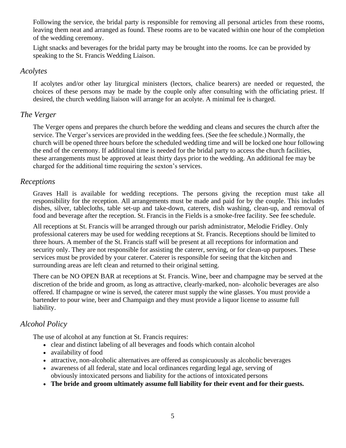Following the service, the bridal party is responsible for removing all personal articles from these rooms, leaving them neat and arranged as found. These rooms are to be vacated within one hour of the completion of the wedding ceremony.

Light snacks and beverages for the bridal party may be brought into the rooms. Ice can be provided by speaking to the St. Francis Wedding Liaison.

## *Acolytes*

If acolytes and/or other lay liturgical ministers (lectors, chalice bearers) are needed or requested, the choices of these persons may be made by the couple only after consulting with the officiating priest. If desired, the church wedding liaison will arrange for an acolyte. A minimal fee is charged.

## *The Verger*

The Verger opens and prepares the church before the wedding and cleans and secures the church after the service. The Verger's services are provided in the wedding fees. (See the fee schedule.) Normally, the church will be opened three hours before the scheduled wedding time and will be locked one hour following the end of the ceremony. If additional time is needed for the bridal party to access the church facilities, these arrangements must be approved at least thirty days prior to the wedding. An additional fee may be charged for the additional time requiring the sexton's services.

## *Receptions*

Graves Hall is available for wedding receptions. The persons giving the reception must take all responsibility for the reception. All arrangements must be made and paid for by the couple. This includes dishes, silver, tablecloths, table set-up and take-down, caterers, dish washing, clean-up, and removal of food and beverage after the reception. St. Francis in the Fields is a smoke-free facility. See fee schedule.

All receptions at St. Francis will be arranged through our parish administrator, Melodie Fridley. Only professional caterers may be used for wedding receptions at St. Francis. Receptions should be limited to three hours. A member of the St. Francis staff will be present at all receptions for information and security only. They are not responsible for assisting the caterer, serving, or for clean-up purposes. These services must be provided by your caterer. Caterer is responsible for seeing that the kitchen and surrounding areas are left clean and returned to their original setting.

There can be NO OPEN BAR at receptions at St. Francis. Wine, beer and champagne may be served at the discretion of the bride and groom, as long as attractive, clearly-marked, non- alcoholic beverages are also offered. If champagne or wine is served, the caterer must supply the wine glasses. You must provide a bartender to pour wine, beer and Champaign and they must provide a liquor license to assume full liability.

# *Alcohol Policy*

The use of alcohol at any function at St. Francis requires:

- clear and distinct labeling of all beverages and foods which contain alcohol
- availability of food
- attractive, non-alcoholic alternatives are offered as conspicuously as alcoholic beverages
- awareness of all federal, state and local ordinances regarding legal age, serving of obviously intoxicated persons and liability for the actions of intoxicated persons
- **The bride and groom ultimately assume full liability for their event and for their guests.**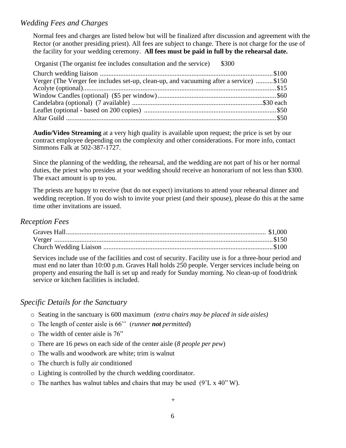# *Wedding Fees and Charges*

Normal fees and charges are listed below but will be finalized after discussion and agreement with the Rector (or another presiding priest). All fees are subject to change. There is not charge for the use of the facility for your wedding ceremony. **All fees must be paid in full by the rehearsal date.**

Organist (The organist fee includes consultation and the service) \$300

| Verger (The Verger fee includes set-up, clean-up, and vacuuming after a service) \$150 |  |
|----------------------------------------------------------------------------------------|--|
|                                                                                        |  |
|                                                                                        |  |
|                                                                                        |  |
|                                                                                        |  |
|                                                                                        |  |

**Audio/Video Streaming** at a very high quality is available upon request; the price is set by our contract employee depending on the complexity and other considerations. For more info, contact Simmons Falk at 502-387-1727.

Since the planning of the wedding, the rehearsal, and the wedding are not part of his or her normal duties, the priest who presides at your wedding should receive an honorarium of not less than \$300. The exact amount is up to you.

The priests are happy to receive (but do not expect) invitations to attend your rehearsal dinner and wedding reception. If you do wish to invite your priest (and their spouse), please do this at the same time other invitations are issued.

## *Reception Fees*

Services include use of the facilities and cost of security. Facility use is for a three-hour period and must end no later than 10:00 p.m. Graves Hall holds 250 people. Verger services include being on property and ensuring the hall is set up and ready for Sunday morning. No clean-up of food/drink service or kitchen facilities is included.

## *Specific Details for the Sanctuary*

- o Seating in the sanctuary is 600 maximum *(extra chairs may be placed in side aisles)*
- o The length of center aisle is 66'' (*runner not permitted*)
- $\circ$  The width of center aisle is 76"
- o There are 16 pews on each side of the center aisle (*8 people per pew*)
- o The walls and woodwork are white; trim is walnut
- o The church is fully air conditioned
- o Lighting is controlled by the church wedding coordinator.
- $\circ$  The narthex has walnut tables and chairs that may be used (9'L x 40" W).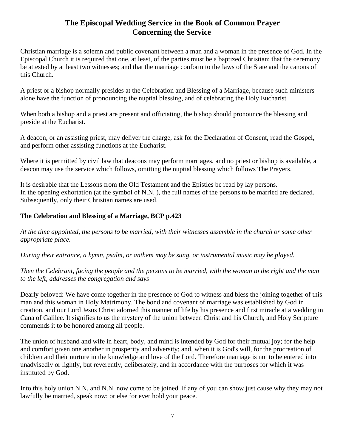# **The Episcopal Wedding Service in the Book of Common Prayer Concerning the Service**

Christian marriage is a solemn and public covenant between a man and a woman in the presence of God. In the Episcopal Church it is required that one, at least, of the parties must be a baptized Christian; that the ceremony be attested by at least two witnesses; and that the marriage conform to the laws of the State and the canons of this Church.

A priest or a bishop normally presides at the Celebration and Blessing of a Marriage, because such ministers alone have the function of pronouncing the nuptial blessing, and of celebrating the Holy Eucharist.

When both a bishop and a priest are present and officiating, the bishop should pronounce the blessing and preside at the Eucharist.

A deacon, or an assisting priest, may deliver the charge, ask for the Declaration of Consent, read the Gospel, and perform other assisting functions at the Eucharist.

Where it is permitted by civil law that deacons may perform marriages, and no priest or bishop is available, a deacon may use the service which follows, omitting the nuptial blessing which follows The Prayers.

It is desirable that the Lessons from the Old Testament and the Epistles be read by lay persons. In the opening exhortation (at the symbol of N.N.), the full names of the persons to be married are declared. Subsequently, only their Christian names are used.

## **The Celebration and Blessing of a Marriage, BCP p.423**

*At the time appointed, the persons to be married, with their witnesses assemble in the church or some other appropriate place.*

*During their entrance, a hymn, psalm, or anthem may be sung, or instrumental music may be played.*

*Then the Celebrant, facing the people and the persons to be married, with the woman to the right and the man to the left, addresses the congregation and says*

Dearly beloved: We have come together in the presence of God to witness and bless the joining together of this man and this woman in Holy Matrimony. The bond and covenant of marriage was established by God in creation, and our Lord Jesus Christ adorned this manner of life by his presence and first miracle at a wedding in Cana of Galilee. It signifies to us the mystery of the union between Christ and his Church, and Holy Scripture commends it to be honored among all people.

The union of husband and wife in heart, body, and mind is intended by God for their mutual joy; for the help and comfort given one another in prosperity and adversity; and, when it is God's will, for the procreation of children and their nurture in the knowledge and love of the Lord. Therefore marriage is not to be entered into unadvisedly or lightly, but reverently, deliberately, and in accordance with the purposes for which it was instituted by God.

Into this holy union N.N. and N.N. now come to be joined. If any of you can show just cause why they may not lawfully be married, speak now; or else for ever hold your peace.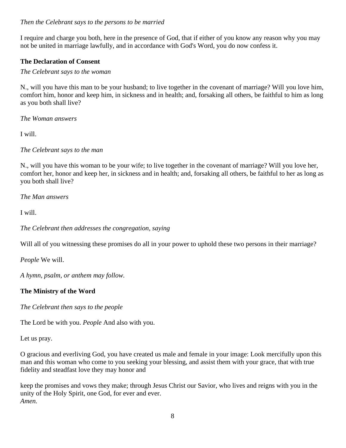#### *Then the Celebrant says to the persons to be married*

I require and charge you both, here in the presence of God, that if either of you know any reason why you may not be united in marriage lawfully, and in accordance with God's Word, you do now confess it.

## **The Declaration of Consent**

*The Celebrant says to the woman*

N., will you have this man to be your husband; to live together in the covenant of marriage? Will you love him, comfort him, honor and keep him, in sickness and in health; and, forsaking all others, be faithful to him as long as you both shall live?

*The Woman answers*

I will.

*The Celebrant says to the man*

N., will you have this woman to be your wife; to live together in the covenant of marriage? Will you love her, comfort her, honor and keep her, in sickness and in health; and, forsaking all others, be faithful to her as long as you both shall live?

*The Man answers*

I will.

*The Celebrant then addresses the congregation, saying*

Will all of you witnessing these promises do all in your power to uphold these two persons in their marriage?

*People* We will.

*A hymn, psalm, or anthem may follow.*

## **The Ministry of the Word**

*The Celebrant then says to the people*

The Lord be with you. *People* And also with you.

Let us pray.

O gracious and everliving God, you have created us male and female in your image: Look mercifully upon this man and this woman who come to you seeking your blessing, and assist them with your grace, that with true fidelity and steadfast love they may honor and

keep the promises and vows they make; through Jesus Christ our Savior, who lives and reigns with you in the unity of the Holy Spirit, one God, for ever and ever. *Amen.*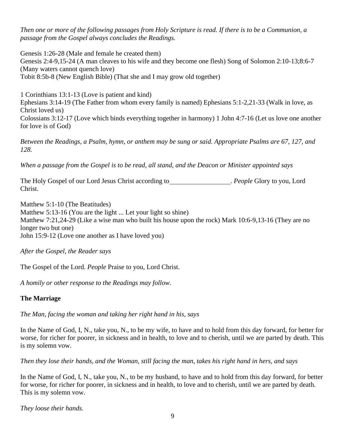*Then one or more of the following passages from Holy Scripture is read. If there is to be a Communion, a passage from the Gospel always concludes the Readings.*

Genesis 1:26-28 (Male and female he created them) Genesis 2:4-9,15-24 (A man cleaves to his wife and they become one flesh) Song of Solomon 2:10-13;8:6-7 (Many waters cannot quench love) Tobit 8:5b-8 (New English Bible) (That she and I may grow old together)

1 Corinthians 13:1-13 (Love is patient and kind) Ephesians 3:14-19 (The Father from whom every family is named) Ephesians 5:1-2,21-33 (Walk in love, as Christ loved us) Colossians 3:12-17 (Love which binds everything together in harmony) 1 John 4:7-16 (Let us love one another for love is of God)

*Between the Readings, a Psalm, hymn, or anthem may be sung or said. Appropriate Psalms are 67, 127, and 128.*

*When a passage from the Gospel is to be read, all stand, and the Deacon or Minister appointed says*

The Holy Gospel of our Lord Jesus Christ according to . *People* Glory to you, Lord Christ.

Matthew 5:1-10 (The Beatitudes) Matthew 5:13-16 (You are the light ... Let your light so shine) Matthew 7:21,24-29 (Like a wise man who built his house upon the rock) Mark 10:6-9,13-16 (They are no longer two but one) John 15:9-12 (Love one another as I have loved you)

*After the Gospel, the Reader says*

The Gospel of the Lord. *People* Praise to you, Lord Christ.

*A homily or other response to the Readings may follow.*

## **The Marriage**

*The Man, facing the woman and taking her right hand in his, says*

In the Name of God, I, N., take you, N., to be my wife, to have and to hold from this day forward, for better for worse, for richer for poorer, in sickness and in health, to love and to cherish, until we are parted by death. This is my solemn vow.

*Then they lose their hands, and the Woman, still facing the man, takes his right hand in hers, and says*

In the Name of God, I, N., take you, N., to be my husband, to have and to hold from this day forward, for better for worse, for richer for poorer, in sickness and in health, to love and to cherish, until we are parted by death. This is my solemn vow.

*They loose their hands.*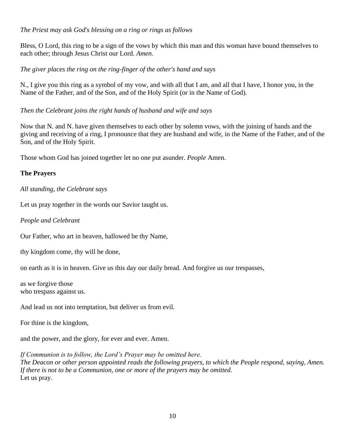#### *The Priest may ask God's blessing on a ring or rings as follows*

Bless, O Lord, this ring to be a sign of the vows by which this man and this woman have bound themselves to each other; through Jesus Christ our Lord. *Amen*.

*The giver places the ring on the ring-finger of the other's hand and says*

N., I give you this ring as a symbol of my vow, and with all that I am, and all that I have, I honor you, in the Name of the Father, and of the Son, and of the Holy Spirit (or in the Name of God).

#### *Then the Celebrant joins the right hands of husband and wife and says*

Now that N. and N. have given themselves to each other by solemn vows, with the joining of hands and the giving and receiving of a ring, I pronounce that they are husband and wife, in the Name of the Father, and of the Son, and of the Holy Spirit.

Those whom God has joined together let no one put asunder. *People* Amen.

#### **The Prayers**

*All standing, the Celebrant says*

Let us pray together in the words our Savior taught us.

*People and Celebrant*

Our Father, who art in heaven, hallowed be thy Name,

thy kingdom come, thy will be done,

on earth as it is in heaven. Give us this day our daily bread. And forgive us our trespasses,

as we forgive those who trespass against us.

And lead us not into temptation, but deliver us from evil.

For thine is the kingdom,

and the power, and the glory, for ever and ever. Amen.

*If Communion is to follow, the Lord's Prayer may be omitted here. The Deacon or other person appointed reads the following prayers, to which the People respond, saying, Amen. If there is not to be a Communion, one or more of the prayers may be omitted.* Let us pray.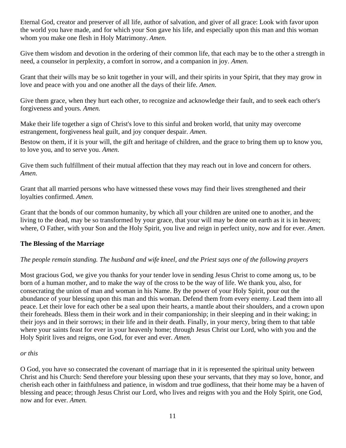Eternal God, creator and preserver of all life, author of salvation, and giver of all grace: Look with favor upon the world you have made, and for which your Son gave his life, and especially upon this man and this woman whom you make one flesh in Holy Matrimony. *Amen.*

Give them wisdom and devotion in the ordering of their common life, that each may be to the other a strength in need, a counselor in perplexity, a comfort in sorrow, and a companion in joy*. Amen.*

Grant that their wills may be so knit together in your will, and their spirits in your Spirit, that they may grow in love and peace with you and one another all the days of their life. *Amen.*

Give them grace, when they hurt each other, to recognize and acknowledge their fault, and to seek each other's forgiveness and yours*. Amen.*

Make their life together a sign of Christ's love to this sinful and broken world, that unity may overcome estrangement, forgiveness heal guilt, and joy conquer despair. *Amen.*

Bestow on them, if it is your will, the gift and heritage of children, and the grace to bring them up to know you, to love you, and to serve you. *Amen.*

Give them such fulfillment of their mutual affection that they may reach out in love and concern for others. *Amen.*

Grant that all married persons who have witnessed these vows may find their lives strengthened and their loyalties confirmed. *Amen.*

Grant that the bonds of our common humanity, by which all your children are united one to another, and the living to the dead, may be so transformed by your grace, that your will may be done on earth as it is in heaven; where, O Father, with your Son and the Holy Spirit, you live and reign in perfect unity, now and for ever. *Amen.*

## **The Blessing of the Marriage**

## *The people remain standing. The husband and wife kneel, and the Priest says one of the following prayers*

Most gracious God, we give you thanks for your tender love in sending Jesus Christ to come among us, to be born of a human mother, and to make the way of the cross to be the way of life. We thank you, also, for consecrating the union of man and woman in his Name. By the power of your Holy Spirit, pour out the abundance of your blessing upon this man and this woman. Defend them from every enemy. Lead them into all peace. Let their love for each other be a seal upon their hearts, a mantle about their shoulders, and a crown upon their foreheads. Bless them in their work and in their companionship; in their sleeping and in their waking; in their joys and in their sorrows; in their life and in their death. Finally, in your mercy, bring them to that table where your saints feast for ever in your heavenly home; through Jesus Christ our Lord, who with you and the Holy Spirit lives and reigns, one God, for ever and ever. *Amen.*

#### *or this*

O God, you have so consecrated the covenant of marriage that in it is represented the spiritual unity between Christ and his Church: Send therefore your blessing upon these your servants, that they may so love, honor, and cherish each other in faithfulness and patience, in wisdom and true godliness, that their home may be a haven of blessing and peace; through Jesus Christ our Lord, who lives and reigns with you and the Holy Spirit, one God, now and for ever. *Amen.*